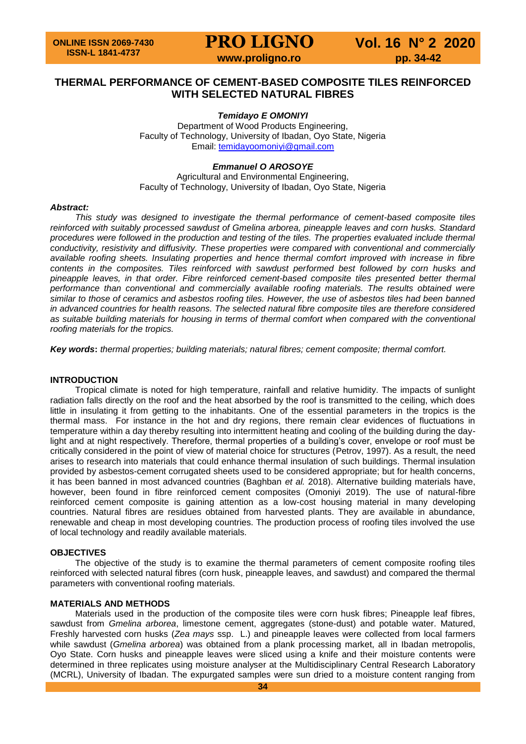# **PRO LIGNO Vol. 16 N° 2 2020**

**www.proligno.ro pp. 34-42** 

### **THERMAL PERFORMANCE OF CEMENT-BASED COMPOSITE TILES REINFORCED WITH SELECTED NATURAL FIBRES**

#### *Temidayo E OMONIYI*

Department of Wood Products Engineering, Faculty of Technology, University of Ibadan, Oyo State, Nigeria Email: [temidayoomoniyi@gmail.com](mailto:temidayoomoniyi@gmail.com)

#### *Emmanuel O AROSOYE*

Agricultural and Environmental Engineering, Faculty of Technology, University of Ibadan, Oyo State, Nigeria

#### *Abstract:*

*This study was designed to investigate the thermal performance of cement-based composite tiles reinforced with suitably processed sawdust of Gmelina arborea, pineapple leaves and corn husks. Standard procedures were followed in the production and testing of the tiles. The properties evaluated include thermal conductivity, resistivity and diffusivity. These properties were compared with conventional and commercially available roofing sheets. Insulating properties and hence thermal comfort improved with increase in fibre contents in the composites. Tiles reinforced with sawdust performed best followed by corn husks and pineapple leaves, in that order. Fibre reinforced cement-based composite tiles presented better thermal performance than conventional and commercially available roofing materials. The results obtained were similar to those of ceramics and asbestos roofing tiles. However, the use of asbestos tiles had been banned in advanced countries for health reasons. The selected natural fibre composite tiles are therefore considered*  as suitable building materials for housing in terms of thermal comfort when compared with the conventional *roofing materials for the tropics.*

*Key words***:** *thermal properties; building materials; natural fibres; cement composite; thermal comfort.*

#### **INTRODUCTION**

Tropical climate is noted for high temperature, rainfall and relative humidity. The impacts of sunlight radiation falls directly on the roof and the heat absorbed by the roof is transmitted to the ceiling, which does little in insulating it from getting to the inhabitants. One of the essential parameters in the tropics is the thermal mass. For instance in the hot and dry regions, there remain clear evidences of fluctuations in temperature within a day thereby resulting into intermittent heating and cooling of the building during the daylight and at night respectively. Therefore, thermal properties of a building's cover, envelope or roof must be critically considered in the point of view of material choice for structures (Petrov, 1997). As a result, the need arises to research into materials that could enhance thermal insulation of such buildings. Thermal insulation provided by asbestos-cement corrugated sheets used to be considered appropriate; but for health concerns, it has been banned in most advanced countries (Baghban *et al.* 2018). Alternative building materials have, however, been found in fibre reinforced cement composites (Omoniyi 2019). The use of natural-fibre reinforced cement composite is gaining attention as a low-cost housing material in many developing countries. Natural fibres are residues obtained from harvested plants. They are available in abundance, renewable and cheap in most developing countries. The production process of roofing tiles involved the use of local technology and readily available materials.

#### **OBJECTIVES**

The objective of the study is to examine the thermal parameters of cement composite roofing tiles reinforced with selected natural fibres (corn husk, pineapple leaves, and sawdust) and compared the thermal parameters with conventional roofing materials.

#### **MATERIALS AND METHODS**

Materials used in the production of the composite tiles were corn husk fibres; Pineapple leaf fibres, sawdust from *Gmelina arborea*, limestone cement, aggregates (stone-dust) and potable water. Matured, Freshly harvested corn husks (*Zea mays* ssp. L.) and pineapple leaves were collected from local farmers while sawdust (*Gmelina arborea*) was obtained from a plank processing market, all in Ibadan metropolis, Oyo State. Corn husks and pineapple leaves were sliced using a knife and their moisture contents were determined in three replicates using moisture analyser at the Multidisciplinary Central Research Laboratory (MCRL), University of Ibadan. The expurgated samples were sun dried to a moisture content ranging from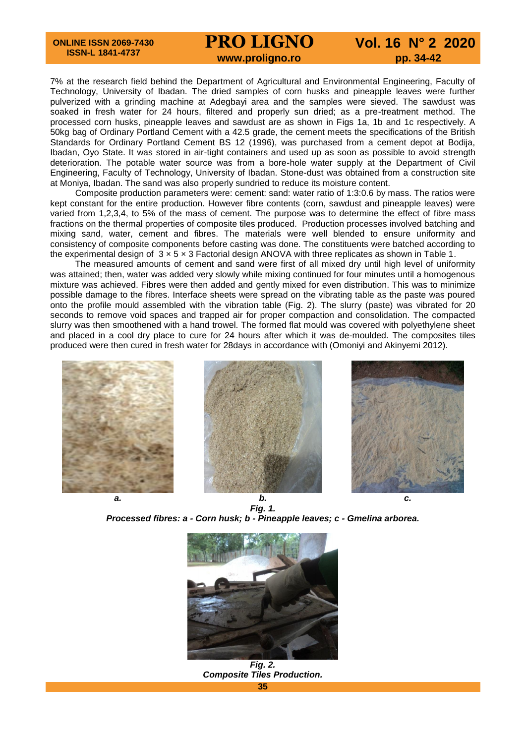# **PRO LIGNO Vol. 16 N° 2 2020 www.proligno.ro pp. 34-42**

7% at the research field behind the Department of Agricultural and Environmental Engineering, Faculty of Technology, University of Ibadan. The dried samples of corn husks and pineapple leaves were further pulverized with a grinding machine at Adegbayi area and the samples were sieved. The sawdust was soaked in fresh water for 24 hours, filtered and properly sun dried; as a pre-treatment method. The processed corn husks, pineapple leaves and sawdust are as shown in Figs 1a, 1b and 1c respectively. A 50kg bag of Ordinary Portland Cement with a 42.5 grade, the cement meets the specifications of the British Standards for Ordinary Portland Cement BS 12 (1996), was purchased from a cement depot at Bodija, Ibadan, Oyo State. It was stored in air-tight containers and used up as soon as possible to avoid strength deterioration. The potable water source was from a bore-hole water supply at the Department of Civil Engineering, Faculty of Technology, University of Ibadan. Stone-dust was obtained from a construction site at Moniya, Ibadan. The sand was also properly sundried to reduce its moisture content.

Composite production parameters were: cement: sand: water ratio of 1:3:0.6 by mass. The ratios were kept constant for the entire production. However fibre contents (corn, sawdust and pineapple leaves) were varied from 1,2,3,4, to 5% of the mass of cement. The purpose was to determine the effect of fibre mass fractions on the thermal properties of composite tiles produced. Production processes involved batching and mixing sand, water, cement and fibres. The materials were well blended to ensure uniformity and consistency of composite components before casting was done. The constituents were batched according to the experimental design of 3 × 5 × 3 Factorial design ANOVA with three replicates as shown in Table 1.

The measured amounts of cement and sand were first of all mixed dry until high level of uniformity was attained; then, water was added very slowly while mixing continued for four minutes until a homogenous mixture was achieved. Fibres were then added and gently mixed for even distribution. This was to minimize possible damage to the fibres. Interface sheets were spread on the vibrating table as the paste was poured onto the profile mould assembled with the vibration table (Fig. 2). The slurry (paste) was vibrated for 20 seconds to remove void spaces and trapped air for proper compaction and consolidation. The compacted slurry was then smoothened with a hand trowel. The formed flat mould was covered with polyethylene sheet and placed in a cool dry place to cure for 24 hours after which it was de-moulded. The composites tiles produced were then cured in fresh water for 28days in accordance with (Omoniyi and Akinyemi 2012).







*a. b. c. Fig. 1. Processed fibres: a - Corn husk; b - Pineapple leaves; c - Gmelina arborea.*



**35** *Fig. 2. Composite Tiles Production.*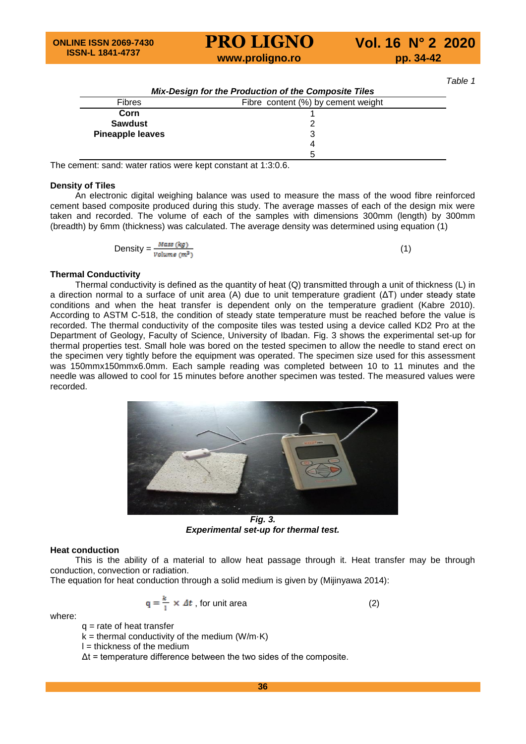# **PRO LIGNO Vol. 16 N° 2 2020 www.proligno.ro pp. 34-42**

*Table 1*

|                                                     | Mix-Design for the Production of the Composite Tiles |  |  |  |  |
|-----------------------------------------------------|------------------------------------------------------|--|--|--|--|
| Fibre content (%) by cement weight<br><b>Fibres</b> |                                                      |  |  |  |  |
| Corn                                                |                                                      |  |  |  |  |
| <b>Sawdust</b>                                      |                                                      |  |  |  |  |
| <b>Pineapple leaves</b>                             | 3                                                    |  |  |  |  |
|                                                     | 4                                                    |  |  |  |  |
|                                                     | 5                                                    |  |  |  |  |

The cement: sand: water ratios were kept constant at 1:3:0.6.

#### **Density of Tiles**

An electronic digital weighing balance was used to measure the mass of the wood fibre reinforced cement based composite produced during this study. The average masses of each of the design mix were taken and recorded. The volume of each of the samples with dimensions 300mm (length) by 300mm (breadth) by 6mm (thickness) was calculated. The average density was determined using equation (1)

Density = 
$$
\frac{Mass (kg)}{Volume (m^3)}
$$
 (1)

#### **Thermal Conductivity**

Thermal conductivity is defined as the quantity of heat (Q) transmitted through a unit of thickness (L) in a direction normal to a surface of unit area (A) due to unit temperature gradient (ΔT) under steady state conditions and when the heat transfer is dependent only on the temperature gradient (Kabre 2010). According to ASTM C-518, the condition of steady state temperature must be reached before the value is recorded. The thermal conductivity of the composite tiles was tested using a device called KD2 Pro at the Department of Geology, Faculty of Science, University of Ibadan. Fig. 3 shows the experimental set-up for thermal properties test. Small hole was bored on the tested specimen to allow the needle to stand erect on the specimen very tightly before the equipment was operated. The specimen size used for this assessment was 150mmx150mmx6.0mm. Each sample reading was completed between 10 to 11 minutes and the needle was allowed to cool for 15 minutes before another specimen was tested. The measured values were recorded.



*Fig. 3. Experimental set-up for thermal test.*

#### **Heat conduction**

This is the ability of a material to allow heat passage through it. Heat transfer may be through conduction, convection or radiation.

The equation for heat conduction through a solid medium is given by (Mijinyawa 2014):

$$
q = \frac{k}{1} \times \Delta t
$$
, for unit area (2)

where:

 $q$  = rate of heat transfer

 $k =$  thermal conductivity of the medium (W/m $\cdot$ K)

 $l =$  thickness of the medium

 $\Delta t$  = temperature difference between the two sides of the composite.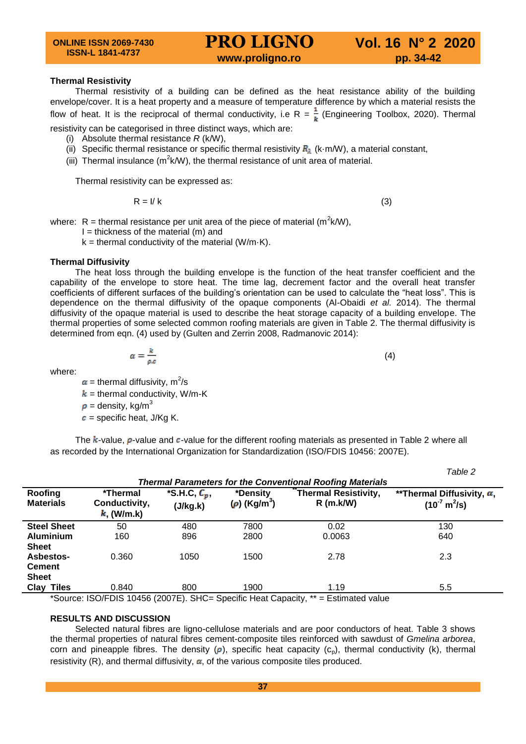#### **Thermal Resistivity**

Thermal resistivity of a building can be defined as the heat resistance ability of the building envelope/cover. It is a heat property and a measure of temperature difference by which a material resists the flow of heat. It is the reciprocal of thermal conductivity, i.e R =  $\frac{1}{k}$  (Engineering Toolbox, 2020). Thermal resistivity can be categorised in three distinct ways, which are:

- (i) Absolute thermal resistance *R* (k/W),
- (ii) Specific thermal resistance or specific thermal resistivity  $R_{\lambda}$  (k·m/W), a material constant,
- (iii) Thermal insulance ( $m^2k/W$ ), the thermal resistance of unit area of material.

Thermal resistivity can be expressed as:

$$
R = I/k \tag{3}
$$

(4)

where:  $R =$  thermal resistance per unit area of the piece of material (m<sup>2</sup>k/W),

- $I =$  thickness of the material (m) and
- $k =$  thermal conductivity of the material (W/m $\cdot$ K).

#### **Thermal Diffusivity**

The heat loss through the building envelope is the function of the heat transfer coefficient and the capability of the envelope to store heat. The time lag, decrement factor and the overall heat transfer coefficients of different surfaces of the building's orientation can be used to calculate the "heat loss". This is dependence on the thermal diffusivity of the opaque components (Al-Obaidi *et al.* 2014). The thermal diffusivity of the opaque material is used to describe the heat storage capacity of a building envelope. The thermal properties of some selected common roofing materials are given in Table 2. The thermal diffusivity is determined from eqn. (4) used by (Gulten and Zerrin 2008, Radmanovic 2014):

$$
\alpha = \frac{k}{\rho.c}
$$

where:

= thermal diffusivity,  $m^2/s$ 

 $k =$  thermal conductivity, W/m-K

 $\rho =$  density, kg/m<sup>3</sup>

 $\mathbf{c}$  = specific heat, J/Kg K.

The  $k$ -value,  $\rho$ -value and  $c$ -value for the different roofing materials as presented in Table 2 where all as recorded by the International Organization for Standardization (ISO/FDIS 10456: 2007E).

|                                                                  |                                          |                                                            |                                           |                                                                                 | Table 2                                                          |  |  |
|------------------------------------------------------------------|------------------------------------------|------------------------------------------------------------|-------------------------------------------|---------------------------------------------------------------------------------|------------------------------------------------------------------|--|--|
| <b>Thermal Parameters for the Conventional Roofing Materials</b> |                                          |                                                            |                                           |                                                                                 |                                                                  |  |  |
| Roofing<br><b>Materials</b>                                      | *Thermal<br>Conductivity,<br>$k$ (W/m.k) | $\overline{\mathcal{S}}$ .H.C, $\mathcal{C}_p$<br>(J/kg.k) | *Density<br>$(\rho)$ (Kg/m <sup>3</sup> ) | <b>Thermal Resistivity,</b><br>$R$ (m.k/W)                                      | **Thermal Diffusivity, $\alpha$<br>$(10^7 \text{ m}^2/\text{s})$ |  |  |
| <b>Steel Sheet</b>                                               | 50                                       | 480                                                        | 7800                                      | 0.02                                                                            | 130                                                              |  |  |
| <b>Aluminium</b>                                                 | 160                                      | 896                                                        | 2800                                      | 0.0063                                                                          | 640                                                              |  |  |
| <b>Sheet</b><br><b>Asbestos-</b>                                 | 0.360                                    | 1050                                                       | 1500                                      | 2.78                                                                            | 2.3                                                              |  |  |
| <b>Cement</b><br><b>Sheet</b>                                    |                                          |                                                            |                                           |                                                                                 |                                                                  |  |  |
| <b>Clay Tiles</b>                                                | 0.840                                    | 800                                                        | 1900                                      | 1.19                                                                            | 5.5                                                              |  |  |
|                                                                  |                                          |                                                            |                                           | *Source: ISO/EDIS 10456 (2007E) SHC-Specific Heat Capacity ** - Estimated value |                                                                  |  |  |

Source: ISO/FDIS 10456 (2007E). SHC= Specific Heat Capacity, \*\*\* = Estimated value

#### **RESULTS AND DISCUSSION**

Selected natural fibres are ligno-cellulose materials and are poor conductors of heat. Table 3 shows the thermal properties of natural fibres cement-composite tiles reinforced with sawdust of *Gmelina arborea*, corn and pineapple fibres. The density ( $\rho$ ), specific heat capacity ( $c<sub>p</sub>$ ), thermal conductivity (k), thermal resistivity (R), and thermal diffusivity,  $\alpha$ , of the various composite tiles produced.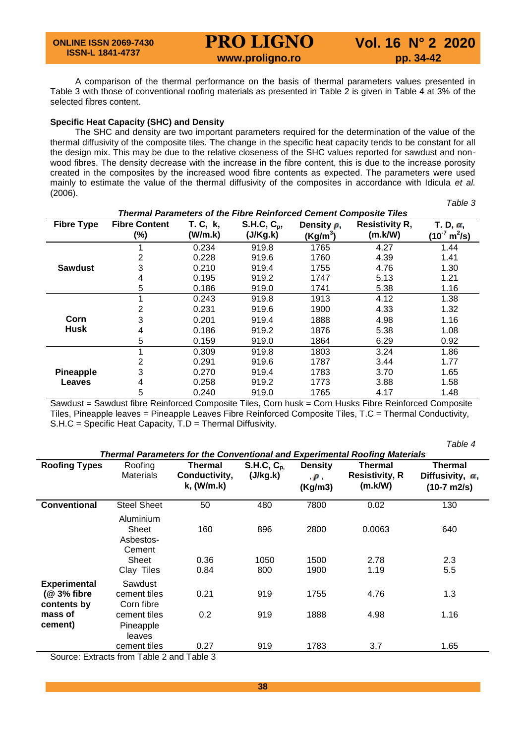# **PRO LIGNO Vol. 16 N° 2 2020 www.proligno.ro pp. 34-42**

A comparison of the thermal performance on the basis of thermal parameters values presented in Table 3 with those of conventional roofing materials as presented in Table 2 is given in Table 4 at 3% of the selected fibres content.

#### **Specific Heat Capacity (SHC) and Density**

The SHC and density are two important parameters required for the determination of the value of the thermal diffusivity of the composite tiles. The change in the specific heat capacity tends to be constant for all the design mix. This may be due to the relative closeness of the SHC values reported for sawdust and nonwood fibres. The density decrease with the increase in the fibre content, this is due to the increase porosity created in the composites by the increased wood fibre contents as expected. The parameters were used mainly to estimate the value of the thermal diffusivity of the composites in accordance with Idicula *et al.* (2006). *Table 3* 

| <b>Thermal Parameters of the Fibre Reinforced Cement Composite Tiles</b> |                                |                     |                           |                                          |                                  |                                                   |
|--------------------------------------------------------------------------|--------------------------------|---------------------|---------------------------|------------------------------------------|----------------------------------|---------------------------------------------------|
| <b>Fibre Type</b>                                                        | <b>Fibre Content</b><br>$(\%)$ | T. C, k,<br>(W/m.k) | $S.H.C, C_p,$<br>(J/Kg.k) | Density $\rho$ ,<br>(Kg/m <sup>3</sup> ) | <b>Resistivity R,</b><br>(m.k/W) | T. D, $\alpha$ ,<br>$(10^7 \text{ m}^2/\text{s})$ |
|                                                                          |                                | 0.234               | 919.8                     | 1765                                     | 4.27                             | 1.44                                              |
|                                                                          | 2                              | 0.228               | 919.6                     | 1760                                     | 4.39                             | 1.41                                              |
| <b>Sawdust</b>                                                           | 3                              | 0.210               | 919.4                     | 1755                                     | 4.76                             | 1.30                                              |
|                                                                          | 4                              | 0.195               | 919.2                     | 1747                                     | 5.13                             | 1.21                                              |
|                                                                          | 5                              | 0.186               | 919.0                     | 1741                                     | 5.38                             | 1.16                                              |
|                                                                          |                                | 0.243               | 919.8                     | 1913                                     | 4.12                             | 1.38                                              |
|                                                                          | 2                              | 0.231               | 919.6                     | 1900                                     | 4.33                             | 1.32                                              |
| Corn                                                                     | 3                              | 0.201               | 919.4                     | 1888                                     | 4.98                             | 1.16                                              |
| <b>Husk</b>                                                              | 4                              | 0.186               | 919.2                     | 1876                                     | 5.38                             | 1.08                                              |
|                                                                          | 5                              | 0.159               | 919.0                     | 1864                                     | 6.29                             | 0.92                                              |
|                                                                          |                                | 0.309               | 919.8                     | 1803                                     | 3.24                             | 1.86                                              |
|                                                                          | 2                              | 0.291               | 919.6                     | 1787                                     | 3.44                             | 1.77                                              |
| <b>Pineapple</b>                                                         | 3                              | 0.270               | 919.4                     | 1783                                     | 3.70                             | 1.65                                              |
| Leaves                                                                   | 4                              | 0.258               | 919.2                     | 1773                                     | 3.88                             | 1.58                                              |
|                                                                          | 5                              | 0.240               | 919.0                     | 1765                                     | 4.17                             | 1.48                                              |

Sawdust = Sawdust fibre Reinforced Composite Tiles, Corn husk = Corn Husks Fibre Reinforced Composite Tiles, Pineapple leaves = Pineapple Leaves Fibre Reinforced Composite Tiles, T.C = Thermal Conductivity, S.H.C = Specific Heat Capacity, T.D = Thermal Diffusivity.

|                                                    |                                                                  |                                               |                                   |                                       |                                                                                                                                         | Table 4                                                     |
|----------------------------------------------------|------------------------------------------------------------------|-----------------------------------------------|-----------------------------------|---------------------------------------|-----------------------------------------------------------------------------------------------------------------------------------------|-------------------------------------------------------------|
| <b>Roofing Types</b>                               | Roofing<br><b>Materials</b>                                      | <b>Thermal</b><br>Conductivity,<br>k, (W/m.k) | S.H.C, C <sub>p</sub><br>(J/kg.k) | <b>Density</b><br>$\rho$ ,<br>(Kg/m3) | <b>Thermal Parameters for the Conventional and Experimental Roofing Materials</b><br><b>Thermal</b><br><b>Resistivity, R</b><br>(m.k/W) | <b>Thermal</b><br>Diffusivity, $\alpha$ ,<br>$(10-7)$ m2/s) |
| <b>Conventional</b>                                | <b>Steel Sheet</b>                                               | 50                                            | 480                               | 7800                                  | 0.02                                                                                                                                    | 130                                                         |
|                                                    | Aluminium<br>Sheet<br>Asbestos-<br>Cement<br>Sheet<br>Clay Tiles | 160<br>0.36<br>0.84                           | 896<br>1050<br>800                | 2800<br>1500<br>1900                  | 0.0063<br>2.78<br>1.19                                                                                                                  | 640<br>2.3<br>5.5                                           |
| <b>Experimental</b><br>$(@3%$ fibre<br>contents by | Sawdust<br>cement tiles<br>Corn fibre                            | 0.21                                          | 919                               | 1755                                  | 4.76                                                                                                                                    | 1.3                                                         |
| mass of                                            | cement tiles                                                     | 0.2                                           | 919                               | 1888                                  | 4.98                                                                                                                                    | 1.16                                                        |
| cement)                                            | Pineapple<br>leaves<br>cement tiles                              | 0.27                                          | 919                               | 1783                                  | 3.7                                                                                                                                     | 1.65                                                        |
|                                                    | Source: Extracts from Table 2 and Table 3                        |                                               |                                   |                                       |                                                                                                                                         |                                                             |

Source: Extracts from Table 2 and Table 3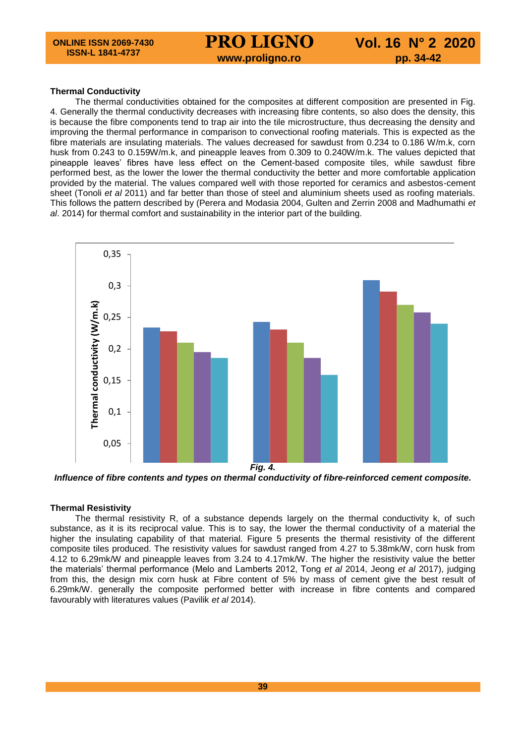# **www.proligno.ro pp. 34-42**

#### **Thermal Conductivity**

The thermal conductivities obtained for the composites at different composition are presented in Fig. 4. Generally the thermal conductivity decreases with increasing fibre contents, so also does the density, this is because the fibre components tend to trap air into the tile microstructure, thus decreasing the density and improving the thermal performance in comparison to convectional roofing materials. This is expected as the fibre materials are insulating materials. The values decreased for sawdust from 0.234 to 0.186 W/m.k, corn husk from 0.243 to 0.159W/m.k, and pineapple leaves from 0.309 to 0.240W/m.k. The values depicted that pineapple leaves' fibres have less effect on the Cement-based composite tiles, while sawdust fibre performed best, as the lower the lower the thermal conductivity the better and more comfortable application provided by the material. The values compared well with those reported for ceramics and asbestos-cement sheet (Tonoli *et al* 2011) and far better than those of steel and aluminium sheets used as roofing materials. This follows the pattern described by (Perera and Modasia 2004, Gulten and Zerrin 2008 and Madhumathi *et al*. 2014) for thermal comfort and sustainability in the interior part of the building.



Influence of fibre contents and types on thermal conductivity of fibre-reinforced cement composite.

#### **Thermal Resistivity**

The thermal resistivity R, of a substance depends largely on the thermal conductivity k, of such substance, as it is its reciprocal value. This is to say, the lower the thermal conductivity of a material the higher the insulating capability of that material. Figure 5 presents the thermal resistivity of the different composite tiles produced. The resistivity values for sawdust ranged from 4.27 to 5.38mk/W, corn husk from 4.12 to 6.29mk/W and pineapple leaves from 3.24 to 4.17mk/W. The higher the resistivity value the better the materials' thermal performance (Melo and Lamberts 2012, Tong *et al* 2014, Jeong *et al* 2017), judging from this, the design mix corn husk at Fibre content of 5% by mass of cement give the best result of 6.29mk/W. generally the composite performed better with increase in fibre contents and compared favourably with literatures values (Pavilik *et al* 2014).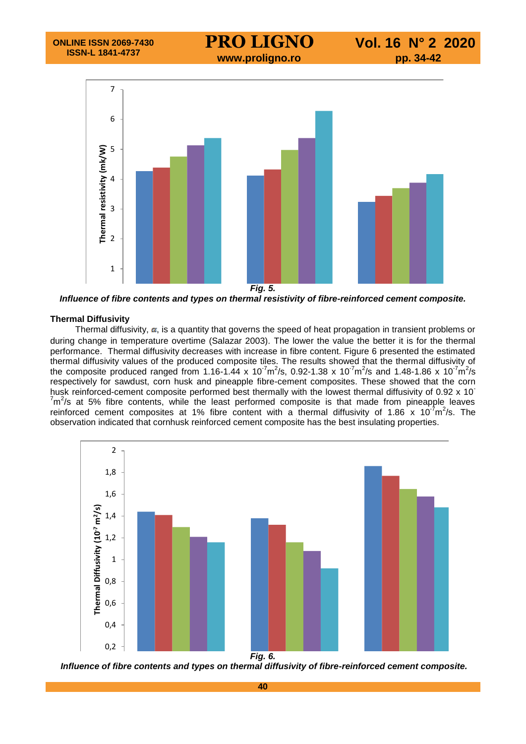

0 *Influence of fibre contents and types on thermal resistivity of fibre-reinforced cement composite.*

#### **Thermal Diffusivity**

lar Dinusivity<br>Thermal diffusivity, **α**, is a quantity that governs the speed of heat propagation in transient problems or during change in temperature overtime (Salazar 2003). The lower the value the better it is for the thermal performance. Thermal diffusivity decreases with increase in fibre content. Figure 6 presented the estimated thermal diffusivity values of the produced composite tiles. The results showed that the thermal diffusivity of the composite produced ranged from 1.16-1.44 x 10<sup>-7</sup>m<sup>2</sup>/s, 0.92-1.38 x 10<sup>-7</sup>m<sup>2</sup>/s and 1.48-1.86 x 10<sup>-7</sup>m<sup>2</sup>/s respectively for sawdust, corn husk and pineapple fibre-cement composites. These showed that the corn husk reinforced-cement composite performed best thermally with the lowest thermal diffusivity of 0.92 x 10<sup>-</sup>  $7m^2$ /s at 5% fibre contents, while the least performed composite is that made from pineapple leaves reinforced cement composites at 1% fibre content with a thermal diffusivity of 1.86 x 10<sup>-7</sup>m<sup>2</sup>/s. The observation indicated that cornhusk reinforced cement composite has the best insulating properties.



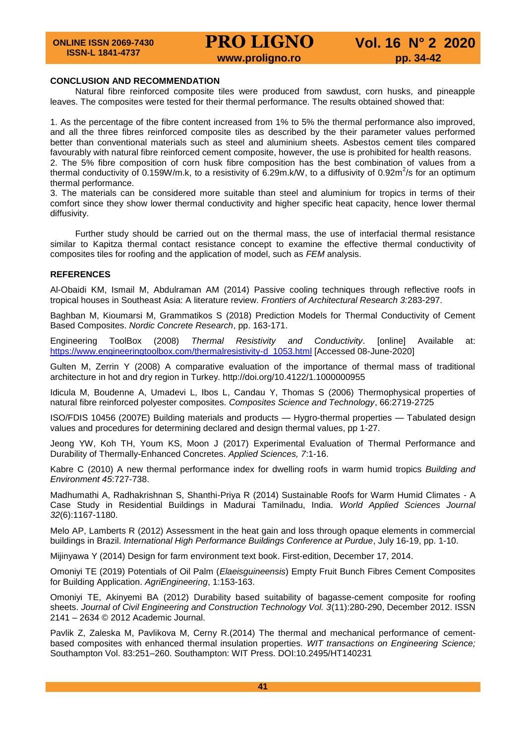#### **CONCLUSION AND RECOMMENDATION**

Natural fibre reinforced composite tiles were produced from sawdust, corn husks, and pineapple leaves. The composites were tested for their thermal performance. The results obtained showed that:

1. As the percentage of the fibre content increased from 1% to 5% the thermal performance also improved, and all the three fibres reinforced composite tiles as described by the their parameter values performed better than conventional materials such as steel and aluminium sheets. Asbestos cement tiles compared favourably with natural fibre reinforced cement composite, however, the use is prohibited for health reasons. 2. The 5% fibre composition of corn husk fibre composition has the best combination of values from a thermal conductivity of 0.159W/m.k, to a resistivity of 6.29m.k/W, to a diffusivity of 0.92m<sup>2</sup>/s for an optimum thermal performance.

3. The materials can be considered more suitable than steel and aluminium for tropics in terms of their comfort since they show lower thermal conductivity and higher specific heat capacity, hence lower thermal diffusivity.

Further study should be carried out on the thermal mass, the use of interfacial thermal resistance similar to Kapitza thermal contact resistance concept to examine the effective thermal conductivity of composites tiles for roofing and the application of model, such as *FEM* analysis.

#### **REFERENCES**

Al-Obaidi KM, Ismail M, Abdulraman AM (2014) Passive cooling techniques through reflective roofs in tropical houses in Southeast Asia: A literature review. *Frontiers of Architectural Research 3:*283-297.

Baghban M, Kioumarsi M, Grammatikos S (2018) Prediction Models for Thermal Conductivity of Cement Based Composites. *Nordic Concrete Research*, pp. 163-171.

Engineering ToolBox (2008) *Thermal Resistivity and Conductivity*. [online] Available at: [https://www.engineeringtoolbox.com/thermalresistivity-d\\_1053.html](https://www.engineeringtoolbox.com/thermalresistivity-d_1053.html) [Accessed 08-June-2020]

Gulten M, Zerrin Y (2008) A comparative evaluation of the importance of thermal mass of traditional architecture in hot and dry region in Turkey. http://doi.org/10.4122/1.1000000955

Idicula M, Boudenne A, Umadevi L, Ibos L, Candau Y, Thomas S (2006) Thermophysical properties of natural fibre reinforced polyester composites. *Composites Science and Technology*, 66:2719-2725

ISO/FDIS 10456 (2007E) Building materials and products — Hygro-thermal properties — Tabulated design values and procedures for determining declared and design thermal values, pp 1-27.

Jeong YW, Koh TH, Youm KS, Moon J (2017) Experimental Evaluation of Thermal Performance and Durability of Thermally-Enhanced Concretes. *Applied Sciences, 7*:1-16.

Kabre C (2010) A new thermal performance index for dwelling roofs in warm humid tropics *Building and Environment 45*:727-738.

Madhumathi A, Radhakrishnan S, Shanthi-Priya R (2014) Sustainable Roofs for Warm Humid Climates - A Case Study in Residential Buildings in Madurai Tamilnadu, India. *World Applied Sciences Journal 32*(6):1167-1180.

Melo AP, Lamberts R (2012) Assessment in the heat gain and loss through opaque elements in commercial buildings in Brazil. *International High Performance Buildings Conference at Purdue*, July 16-19, pp. 1-10.

Mijinyawa Y (2014) Design for farm environment text book. First-edition, December 17, 2014.

Omoniyi TE (2019) Potentials of Oil Palm (*Elaeisguineensis*) Empty Fruit Bunch Fibres Cement Composites for Building Application. *AgriEngineering*, 1:153-163.

Omoniyi TE, Akinyemi BA (2012) Durability based suitability of bagasse-cement composite for roofing sheets. *Journal of Civil Engineering and Construction Technology Vol. 3*(11):280-290, December 2012. ISSN 2141 – 2634 © 2012 Academic Journal.

Pavlik Z, Zaleska M, Pavlikova M, Cerny R.(2014) The thermal and mechanical performance of cementbased composites with enhanced thermal insulation properties. *WIT transactions on Engineering Science;* Southampton Vol. 83:251–260. Southampton: WIT Press. DOI:10.2495/HT140231